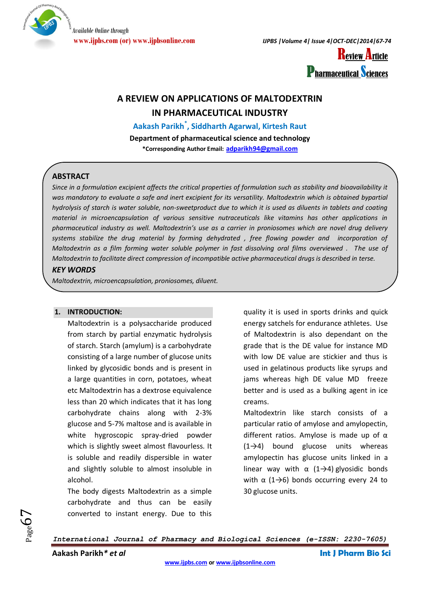

**www.ijpbs.com (or) www.ijpbsonline.com** *IJPBS |Volume 4| Issue 4|OCT-DEC|2014|67-74*



# **A REVIEW ON APPLICATIONS OF MALTODEXTRIN IN PHARMACEUTICAL INDUSTRY**

**Aakash Parikh\* , Siddharth Agarwal, Kirtesh Raut**

**Department of pharmaceutical science and technology \*Corresponding Author Email: [adparikh94@gmail.com](mailto:adparikh94@gmail.com)**

## **ABSTRACT**

*Since in a formulation excipient affects the critical properties of formulation such as stability and bioavailability it*  was mandatory to evaluate a safe and inert excipient for its versatility. Maltodextrin which is obtained bypartial *hydrolysis of starch is water soluble, non-sweetproduct due to which it is used as diluents in tablets and coating material in microencapsulation of various sensitive nutraceuticals like vitamins has other applications in pharmaceutical industry as well. Maltodextrin's use as a carrier in proniosomes which are novel drug delivery systems stabilize the drug material by forming dehydrated , free flowing powder and incorporation of Maltodextrin as a film forming water soluble polymer in fast dissolving oral films overviewed . The use of Maltodextrin to facilitate direct compression of incompatible active pharmaceutical drugs is described in terse.*

### *KEY WORDS*

*Maltodextrin, microencapsulation, proniosomes, diluent.*

### **1. INTRODUCTION:**

Maltodextrin is a polysaccharide produced from starch by partial enzymatic hydrolysis of starch. Starch (amylum) is a carbohydrate consisting of a large number of glucose units linked by glycosidic bonds and is present in a large quantities in corn, potatoes, wheat etc Maltodextrin has a dextrose equivalence less than 20 which indicates that it has long carbohydrate chains along with 2-3% glucose and 5-7% maltose and is available in white hygroscopic spray-dried powder which is slightly sweet almost flavourless. It is soluble and readily dispersible in water and slightly soluble to almost insoluble in alcohol.

The body digests Maltodextrin as a simple carbohydrate and thus can be easily converted to instant energy. Due to this

quality it is used in sports drinks and quick energy satchels for endurance athletes. Use of Maltodextrin is also dependant on the grade that is the DE value for instance MD with low DE value are stickier and thus is used in gelatinous products like syrups and jams whereas high DE value MD freeze better and is used as a bulking agent in ice creams.

Maltodextrin like starch consists of a particular ratio of amylose and amylopectin, different ratios. Amylose is made up of  $\alpha$ (1→4) bound glucose units whereas amylopectin has glucose units linked in a linear way with  $\alpha$  (1→4) glyosidic bonds with  $\alpha$  (1→6) bonds occurring every 24 to 30 glucose units.

*International Journal of Pharmacy and Biological Sciences (e-ISSN: 2230-7605)*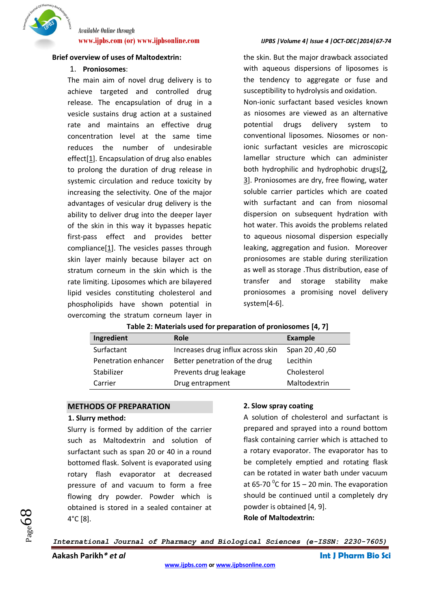

#### **Brief overview of uses of Maltodextrin:**

### 1. **Proniosomes**:

The main aim of novel drug delivery is to achieve targeted and controlled drug release. The encapsulation of drug in a vesicle sustains drug action at a sustained rate and maintains an effective drug concentration level at the same time reduces the number of undesirable effect[\[1\]](#page-6-0). Encapsulation of drug also enables to prolong the duration of drug release in systemic circulation and reduce toxicity by increasing the selectivity. One of the major advantages of vesicular drug delivery is the ability to deliver drug into the deeper layer of the skin in this way it bypasses hepatic first-pass effect and provides better compliance[\[1\]](#page-6-0). The vesicles passes through skin layer mainly because bilayer act on stratum corneum in the skin which is the rate limiting. Liposomes which are bilayered lipid vesicles constituting cholesterol and phospholipids have shown potential in overcoming the stratum corneum layer in

#### **www.ijpbs.com (or) www.ijpbsonline.com** *IJPBS |Volume 4| Issue 4 |OCT-DEC|2014|67-74*

the skin. But the major drawback associated with aqueous dispersions of liposomes is the tendency to aggregate or fuse and susceptibility to hydrolysis and oxidation. Non-ionic surfactant based vesicles known as niosomes are viewed as an alternative potential drugs delivery system to conventional liposomes. Niosomes or nonionic surfactant vesicles are microscopic lamellar structure which can administer both hydrophilic and hydrophobic drugs[\[2,](#page-6-1) [3\]](#page-6-2). Proniosomes are dry, free flowing, water soluble carrier particles which are coated with surfactant and can from niosomal dispersion on subsequent hydration with hot water. This avoids the problems related to aqueous niosomal dispersion especially leaking, aggregation and fusion. Moreover proniosomes are stable during sterilization as well as storage .Thus distribution, ease of transfer and storage stability make proniosomes a promising novel delivery system[\[4-6\]](#page-6-3).

### **Table 2: Materials used for preparation of proniosomes [\[4,](#page-6-3) [7\]](#page-6-4)**

| Ingredient           | <b>Role</b>                       | <b>Example</b>  |
|----------------------|-----------------------------------|-----------------|
| Surfactant           | Increases drug influx across skin | Span 20, 40, 60 |
| Penetration enhancer | Better penetration of the drug    | Lecithin        |
| Stabilizer           | Prevents drug leakage             | Cholesterol     |
| Carrier              | Drug entrapment                   | Maltodextrin    |

### **METHODS OF PREPARATION**

#### **1. Slurry method:**

Slurry is formed by addition of the carrier such as Maltodextrin and solution of surfactant such as span 20 or 40 in a round bottomed flask. Solvent is evaporated using rotary flash evaporator at decreased pressure of and vacuum to form a free flowing dry powder. Powder which is obtained is stored in a sealed container at 4°C [\[8\]](#page-6-5).

### **2. Slow spray coating**

A solution of cholesterol and surfactant is prepared and sprayed into a round bottom flask containing carrier which is attached to a rotary evaporator. The evaporator has to be completely emptied and rotating flask can be rotated in water bath under vacuum at 65-70  $\mathrm{^0C}$  for 15 – 20 min. The evaporation should be continued until a completely dry powder is obtained [\[4,](#page-6-3) [9\]](#page-6-6). **Role of Maltodextrin:** 

*International Journal of Pharmacy and Biological Sciences (e-ISSN: 2230-7605)*

**Aakash Parikh***\* et al* **Int J Pharm Bio Sci**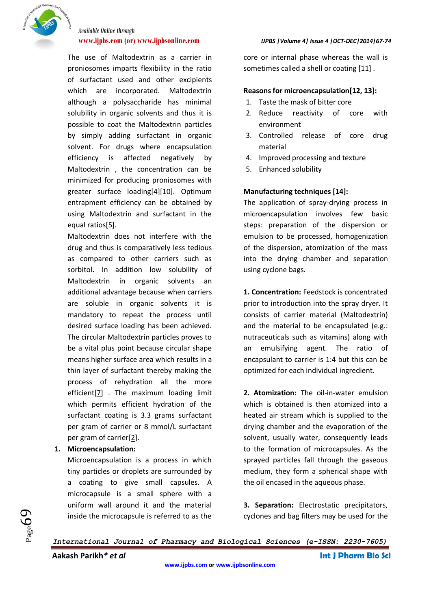

The use of Maltodextrin as a carrier in proniosomes imparts flexibility in the ratio of surfactant used and other excipients which are incorporated. Maltodextrin although a polysaccharide has minimal solubility in organic solvents and thus it is possible to coat the Maltodextrin particles by simply adding surfactant in organic solvent. For drugs where encapsulation efficiency is affected negatively by Maltodextrin , the concentration can be minimized for producing proniosomes with greater surface loading[\[4\]](#page-6-3)[\[10\]](#page-6-7). Optimum entrapment efficiency can be obtained by using Maltodextrin and surfactant in the equal ratios[\[5\]](#page-6-8).

Maltodextrin does not interfere with the drug and thus is comparatively less tedious as compared to other carriers such as sorbitol. In addition low solubility of Maltodextrin in organic solvents an additional advantage because when carriers are soluble in organic solvents it is mandatory to repeat the process until desired surface loading has been achieved. The circular Maltodextrin particles proves to be a vital plus point because circular shape means higher surface area which results in a thin layer of surfactant thereby making the process of rehydration all the more efficient[\[7\]](#page-6-4) . The maximum loading limit which permits efficient hydration of the surfactant coating is 3.3 grams surfactant per gram of carrier or 8 mmol/L surfactant per gram of carrier[\[2\]](#page-6-1).

#### **1. Microencapsulation:**

Microencapsulation is a process in which tiny particles or droplets are surrounded by a coating to give small capsules. A microcapsule is a small sphere with a uniform wall around it and the material inside the microcapsule is referred to as the

#### **www.ijpbs.com (or) www.ijpbsonline.com** *IJPBS |Volume 4| Issue 4 |OCT-DEC|2014|67-74*

core or internal phase whereas the wall is sometimes called a shell or coating [\[11\]](#page-6-9) .

#### **Reasons for microencapsulation[\[12,](#page-7-0) [13\]](#page-7-1):**

- 1. Taste the mask of bitter core
- 2. Reduce reactivity of core with environment
- 3. Controlled release of core drug material
- 4. Improved processing and texture
- 5. Enhanced solubility

#### **Manufacturing techniques [\[14\]](#page-7-2):**

The application of spray-drying process in microencapsulation involves few basic steps: preparation of the dispersion or emulsion to be processed, homogenization of the dispersion, atomization of the mass into the drying chamber and separation using cyclone bags.

**1. Concentration:** Feedstock is concentrated prior to introduction into the spray dryer. It consists of carrier material (Maltodextrin) and the material to be encapsulated (e.g.: nutraceuticals such as vitamins) along with an emulsifying agent. The ratio of encapsulant to carrier is 1:4 but this can be optimized for each individual ingredient.

**2. Atomization:** The oil-in-water emulsion which is obtained is then atomized into a heated air stream which is supplied to the drying chamber and the evaporation of the solvent, usually water, consequently leads to the formation of microcapsules. As the sprayed particles fall through the gaseous medium, they form a spherical shape with the oil encased in the aqueous phase.

**3. Separation:** Electrostatic precipitators, cyclones and bag filters may be used for the

*International Journal of Pharmacy and Biological Sciences (e-ISSN: 2230-7605)*

**Aakash Parikh***\* et al* **Int J Pharm Bio Sci**

 $P_{\text{age}}$ 05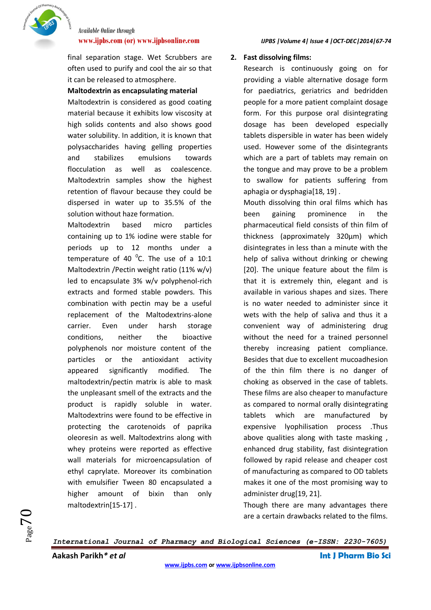

final separation stage. Wet Scrubbers are often used to purify and cool the air so that it can be released to atmosphere.

#### **Maltodextrin as encapsulating material**

Maltodextrin is considered as good coating material because it exhibits low viscosity at high solids contents and also shows good water solubility. In addition, it is known that polysaccharides having gelling properties and stabilizes emulsions towards flocculation as well as coalescence. Maltodextrin samples show the highest retention of flavour because they could be dispersed in water up to 35.5% of the solution without haze formation.

Maltodextrin based micro particles containing up to 1% iodine were stable for periods up to 12 months under a temperature of 40 $\degree$ C. The use of a 10:1 Maltodextrin /Pectin weight ratio (11% w/v) led to encapsulate 3% w/v polyphenol-rich extracts and formed stable powders. This combination with pectin may be a useful replacement of the Maltodextrins-alone carrier. Even under harsh storage conditions, neither the bioactive polyphenols nor moisture content of the particles or the antioxidant activity appeared significantly modified. The maltodextrin/pectin matrix is able to mask the unpleasant smell of the extracts and the product is rapidly soluble in water. Maltodextrins were found to be effective in protecting the carotenoids of paprika oleoresin as well. Maltodextrins along with whey proteins were reported as effective wall materials for microencapsulation of ethyl caprylate. Moreover its combination with emulsifier Tween 80 encapsulated a higher amount of bixin than only maltodextrin[\[15-17\]](#page-7-3) .

#### **www.ijpbs.com (or) www.ijpbsonline.com** *IJPBS |Volume 4| Issue 4 |OCT-DEC|2014|67-74*

#### **2. Fast dissolving films:**

Research is continuously going on for providing a viable alternative dosage form for paediatrics, geriatrics and bedridden people for a more patient complaint dosage form. For this purpose oral disintegrating dosage has been developed especially tablets dispersible in water has been widely used. However some of the disintegrants which are a part of tablets may remain on the tongue and may prove to be a problem to swallow for patients suffering from aphagia or dysphagia[\[18,](#page-7-4) [19\]](#page-7-5) .

Mouth dissolving thin oral films which has been gaining prominence in the pharmaceutical field consists of thin film of thickness (approximately 320µm) which disintegrates in less than a minute with the help of saliva without drinking or chewing [\[20\]](#page-7-6). The unique feature about the film is that it is extremely thin, elegant and is available in various shapes and sizes. There is no water needed to administer since it wets with the help of saliva and thus it a convenient way of administering drug without the need for a trained personnel thereby increasing patient compliance. Besides that due to excellent mucoadhesion of the thin film there is no danger of choking as observed in the case of tablets. These films are also cheaper to manufacture as compared to normal orally disintegrating tablets which are manufactured by expensive lyophilisation process .Thus above qualities along with taste masking , enhanced drug stability, fast disintegration followed by rapid release and cheaper cost of manufacturing as compared to OD tablets makes it one of the most promising way to administer drug[\[19,](#page-7-5) [21\]](#page-7-7).

Though there are many advantages there are a certain drawbacks related to the films.

*International Journal of Pharmacy and Biological Sciences (e-ISSN: 2230-7605)*

**Aakash Parikh***\* et al* **Int J Pharm Bio Sci**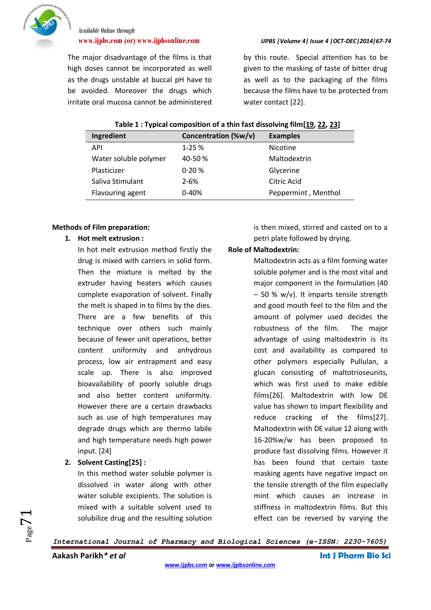

The major disadvantage of the films is that high doses cannot be incorporated as well as the drugs unstable at buccal pH have to be avoided. Moreover the drugs which irritate oral mucosa cannot be administered

**www.ijpbs.com (or) www.ijpbsonline.com** *IJPBS |Volume 4| Issue 4 |OCT-DEC|2014|67-74*

by this route. Special attention has to be given to the masking of taste of bitter drug as well as to the packaging of the films because the films have to be protected from water contact [\[22\]](#page-7-8).

| Table 1 : Typical composition of a thin fast dissolving film[19, 22, 23] |  |  |  |
|--------------------------------------------------------------------------|--|--|--|
|                                                                          |  |  |  |

| Ingredient            | Concentration (%w/v) | <b>Examples</b>     |
|-----------------------|----------------------|---------------------|
| <b>API</b>            | $1 - 25%$            | <b>Nicotine</b>     |
| Water soluble polymer | 40-50%               | Maltodextrin        |
| Plasticizer           | $0 - 20%$            | Glycerine           |
| Saliva Stimulant      | $2 - 6%$             | Citric Acid         |
| Flavouring agent      | $0 - 40%$            | Peppermint, Menthol |

#### **Methods of Film preparation:**

**1. Hot melt extrusion :** 

In hot melt extrusion method firstly the drug is mixed with carriers in solid form. Then the mixture is melted by the extruder having heaters which causes complete evaporation of solvent. Finally the melt is shaped in to films by the dies. There are a few benefits of this technique over others such mainly because of fewer unit operations, better content uniformity and anhydrous process, low air entrapment and easy scale up. There is also improved bioavailability of poorly soluble drugs and also better content uniformity. However there are a certain drawbacks such as use of high temperatures may degrade drugs which are thermo labile and high temperature needs high power input. [\[24\]](#page-7-10)

### **2. Solvent Casting[\[25\]](#page-7-11) :**

In this method water soluble polymer is dissolved in water along with other water soluble excipients. The solution is mixed with a suitable solvent used to solubilize drug and the resulting solution is then mixed, stirred and casted on to a petri plate followed by drying.

#### **Role of Maltodextrin:**

Maltodextrin acts as a film forming water soluble polymer and is the most vital and major component in the formulation (40 – 50 % w/v). It imparts tensile strength and good mouth feel to the film and the amount of polymer used decides the robustness of the film. The major advantage of using maltodextrin is its cost and availability as compared to other polymers especially Pullulan, a glucan consisting of maltotrioseunits, which was first used to make edible films[\[26\]](#page-7-12). Maltodextrin with low DE value has shown to impart flexibility and reduce cracking of the films[\[27\]](#page-7-13). Maltodextrin with DE value 12 along with 16-20%w/w has been proposed to produce fast dissolving films. However it has been found that certain taste masking agents have negative impact on the tensile strength of the film especially mint which causes an increase in stiffness in maltodextrin films. But this effect can be reversed by varying the

*International Journal of Pharmacy and Biological Sciences (e-ISSN: 2230-7605)*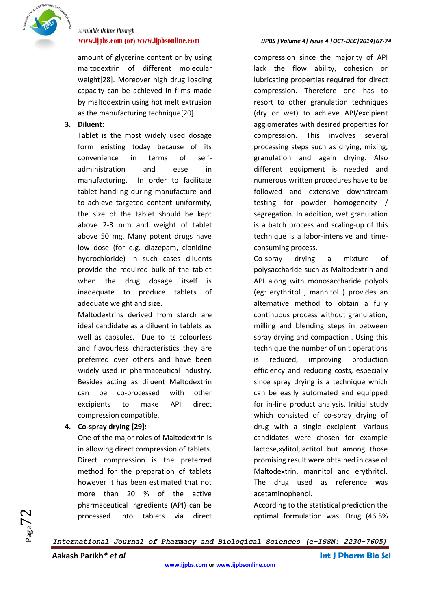

amount of glycerine content or by using maltodextrin of different molecular weight[\[28\]](#page-7-14). Moreover high drug loading capacity can be achieved in films made by maltodextrin using hot melt extrusion as the manufacturing technique[\[20\]](#page-7-6).

### **3. Diluent:**

Tablet is the most widely used dosage form existing today because of its convenience in terms of selfadministration and ease in manufacturing. In order to facilitate tablet handling during manufacture and to achieve targeted content uniformity, the size of the tablet should be kept above 2-3 mm and weight of tablet above 50 mg. Many potent drugs have low dose (for e.g. diazepam, clonidine hydrochloride) in such cases diluents provide the required bulk of the tablet when the drug dosage itself is inadequate to produce tablets of adequate weight and size.

Maltodextrins derived from starch are ideal candidate as a diluent in tablets as well as capsules. Due to its colourless and flavourless characteristics they are preferred over others and have been widely used in pharmaceutical industry. Besides acting as diluent Maltodextrin can be co-processed with other excipients to make API direct compression compatible.

#### **4. Co-spray drying [\[29\]](#page-7-15):**

One of the major roles of Maltodextrin is in allowing direct compression of tablets. Direct compression is the preferred method for the preparation of tablets however it has been estimated that not more than 20 % of the active pharmaceutical ingredients (API) can be processed into tablets via direct

#### **www.ijpbs.com (or) www.ijpbsonline.com** *IJPBS |Volume 4| Issue 4 |OCT-DEC|2014|67-74*

compression since the majority of API lack the flow ability, cohesion or lubricating properties required for direct compression. Therefore one has to resort to other granulation techniques (dry or wet) to achieve API/excipient agglomerates with desired properties for compression. This involves several processing steps such as drying, mixing, granulation and again drying. Also different equipment is needed and numerous written procedures have to be followed and extensive downstream testing for powder homogeneity / segregation. In addition, wet granulation is a batch process and scaling-up of this technique is a labor-intensive and timeconsuming process.

Co-spray drying a mixture of polysaccharide such as Maltodextrin and API along with monosaccharide polyols (eg: erythritol , mannitol ) provides an alternative method to obtain a fully continuous process without granulation, milling and blending steps in between spray drying and compaction . Using this technique the number of unit operations is reduced, improving production efficiency and reducing costs, especially since spray drying is a technique which can be easily automated and equipped for in-line product analysis. Initial study which consisted of co-spray drying of drug with a single excipient. Various candidates were chosen for example lactose,xylitol,lactitol but among those promising result were obtained in case of Maltodextrin, mannitol and erythritol. The drug used as reference was acetaminophenol.

According to the statistical prediction the optimal formulation was: Drug (46.5%

*International Journal of Pharmacy and Biological Sciences (e-ISSN: 2230-7605)*

**Aakash Parikh***\* et al* **Int J Pharm Bio Sci**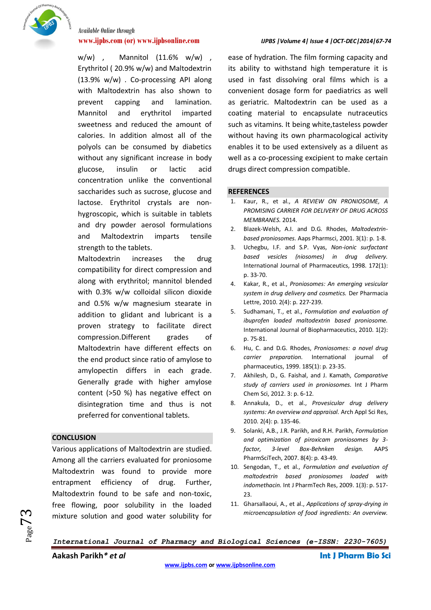

w/w) , Mannitol (11.6% w/w) , Erythritol ( 20.9% w/w) and Maltodextrin (13.9% w/w) . Co-processing API along with Maltodextrin has also shown to prevent capping and lamination. Mannitol and erythritol imparted sweetness and reduced the amount of calories. In addition almost all of the polyols can be consumed by diabetics without any significant increase in body glucose, insulin or lactic acid concentration unlike the conventional saccharides such as sucrose, glucose and lactose. Erythritol crystals are nonhygroscopic, which is suitable in tablets and dry powder aerosol formulations and Maltodextrin imparts tensile strength to the tablets.

Maltodextrin increases the drug compatibility for direct compression and along with erythritol; mannitol blended with 0.3% w/w colloidal silicon dioxide and 0.5% w/w magnesium stearate in addition to glidant and lubricant is a proven strategy to facilitate direct compression.Different grades of Maltodextrin have different effects on the end product since ratio of amylose to amylopectin differs in each grade. Generally grade with higher amylose content (>50 %) has negative effect on disintegration time and thus is not preferred for conventional tablets.

#### **CONCLUSION**

 $_{\rm Page}$ 73

Various applications of Maltodextrin are studied. Among all the carriers evaluated for proniosome Maltodextrin was found to provide more entrapment efficiency of drug. Further, Maltodextrin found to be safe and non-toxic, free flowing, poor solubility in the loaded mixture solution and good water solubility for

#### **www.ijpbs.com (or) www.ijpbsonline.com** *IJPBS |Volume 4| Issue 4 |OCT-DEC|2014|67-74*

ease of hydration. The film forming capacity and its ability to withstand high temperature it is used in fast dissolving oral films which is a convenient dosage form for paediatrics as well as geriatric. Maltodextrin can be used as a coating material to encapsulate nutraceutics such as vitamins. It being white,tasteless powder without having its own pharmacological activity enables it to be used extensively as a diluent as well as a co-processing excipient to make certain drugs direct compression compatible.

#### **REFERENCES**

- <span id="page-6-0"></span>1. Kaur, R., et al., *A REVIEW ON PRONIOSOME, A PROMISING CARRIER FOR DELIVERY OF DRUG ACROSS MEMBRANES.* 2014.
- <span id="page-6-1"></span>2. Blazek-Welsh, A.I. and D.G. Rhodes, *Maltodextrinbased proniosomes.* Aaps Pharmsci, 2001. 3(1): p. 1-8.
- <span id="page-6-2"></span>3. Uchegbu, I.F. and S.P. Vyas, *Non-ionic surfactant based vesicles (niosomes) in drug delivery.* International Journal of Pharmaceutics, 1998. 172(1): p. 33-70.
- <span id="page-6-3"></span>4. Kakar, R., et al., *Proniosomes: An emerging vesicular system in drug delivery and cosmetics.* Der Pharmacia Lettre, 2010. 2(4): p. 227-239.
- <span id="page-6-8"></span>5. Sudhamani, T., et al., *Formulation and evaluation of ibuprofen loaded maltodextrin based proniosome.* International Journal of Biopharmaceutics, 2010. 1(2): p. 75-81.
- 6. Hu, C. and D.G. Rhodes, *Proniosomes: a novel drug carrier preparation.* International journal of pharmaceutics, 1999. 185(1): p. 23-35.
- <span id="page-6-4"></span>7. Akhilesh, D., G. Faishal, and J. Kamath, *Comparative study of carriers used in proniosomes.* Int J Pharm Chem Sci, 2012. 3: p. 6-12.
- <span id="page-6-5"></span>8. Annakula, D., et al., *Provesicular drug delivery systems: An overview and appraisal.* Arch Appl Sci Res, 2010. 2(4): p. 135-46.
- <span id="page-6-6"></span>9. Solanki, A.B., J.R. Parikh, and R.H. Parikh, *Formulation and optimization of piroxicam proniosomes by 3 factor, 3-level Box-Behnken design.* AAPS PharmSciTech, 2007. 8(4): p. 43-49.
- <span id="page-6-7"></span>10. Sengodan, T., et al., *Formulation and evaluation of maltodextrin based proniosomes loaded with indomethacin.* Int J PharmTech Res, 2009. 1(3): p. 517- 23.
- <span id="page-6-9"></span>11. Gharsallaoui, A., et al., *Applications of spray-drying in microencapsulation of food ingredients: An overview.*

*International Journal of Pharmacy and Biological Sciences (e-ISSN: 2230-7605)*

**Aakash Parikh***\* et al* **Int J Pharm Bio Sci**